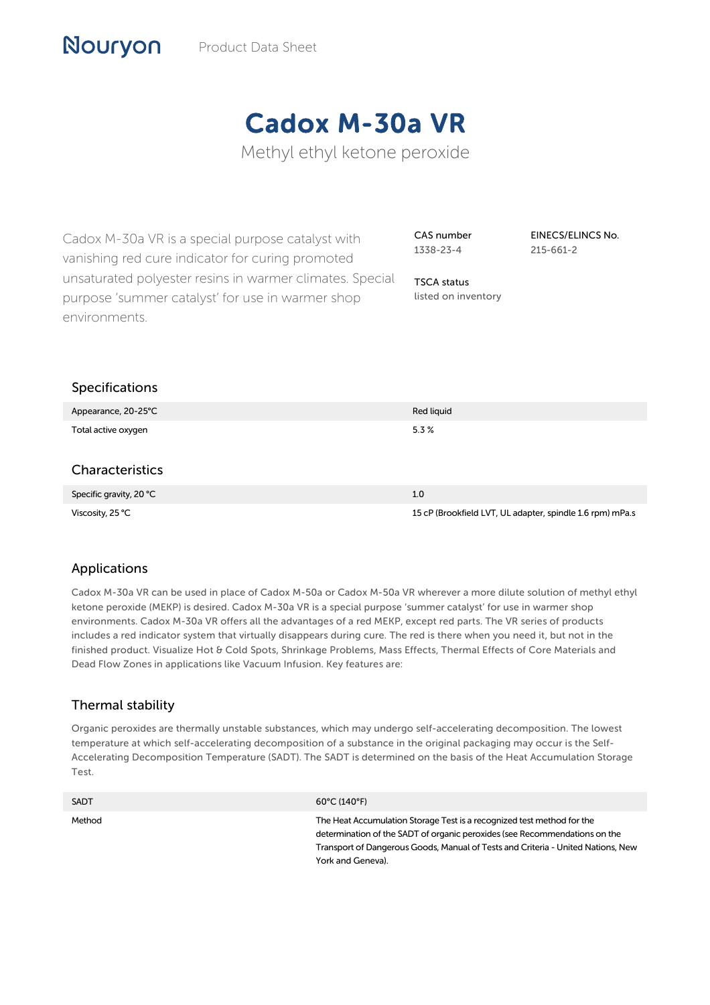# Cadox M-30a VR

Methyl ethyl ketone peroxide

Cadox M-30a VR is a special purpose catalyst with vanishing red cure indicator for curing promoted unsaturated polyester resins in warmer climates. Special purpose 'summer catalyst' for use in warmer shop environments.

CAS number 1338-23-4

TSCA status listed on inventory EINECS/ELINCS No. 215-661-2

| Specifications          |                                                           |
|-------------------------|-----------------------------------------------------------|
| Appearance, 20-25°C     | Red liquid                                                |
| Total active oxygen     | 5.3%                                                      |
|                         |                                                           |
| <b>Characteristics</b>  |                                                           |
| Specific gravity, 20 °C | 1.0                                                       |
| Viscosity, 25 °C        | 15 cP (Brookfield LVT, UL adapter, spindle 1.6 rpm) mPa.s |

# Applications

Nouryon

Cadox M-30a VR can be used in place of Cadox M-50a or Cadox M-50a VR wherever a more dilute solution of methyl ethyl ketone peroxide (MEKP) is desired. Cadox M-30a VR is a special purpose 'summer catalyst' for use in warmer shop environments. Cadox M-30a VR offers all the advantages of a red MEKP, except red parts. The VR series of products includes a red indicator system that virtually disappears during cure. The red is there when you need it, but not in the finished product. Visualize Hot & Cold Spots, Shrinkage Problems, Mass Effects, Thermal Effects of Core Materials and Dead Flow Zones in applications like Vacuum Infusion. Key features are:

# Thermal stability

Organic peroxides are thermally unstable substances, which may undergo self-accelerating decomposition. The lowest temperature at which self-accelerating decomposition of a substance in the original packaging may occur is the Self-Accelerating Decomposition Temperature (SADT). The SADT is determined on the basis of the Heat Accumulation Storage Test.

| <b>SADT</b> | $60^{\circ}$ C (140°F)                                                                                                                                                                                                                                        |
|-------------|---------------------------------------------------------------------------------------------------------------------------------------------------------------------------------------------------------------------------------------------------------------|
| Method      | The Heat Accumulation Storage Test is a recognized test method for the<br>determination of the SADT of organic peroxides (see Recommendations on the<br>Transport of Dangerous Goods, Manual of Tests and Criteria - United Nations, New<br>York and Geneva). |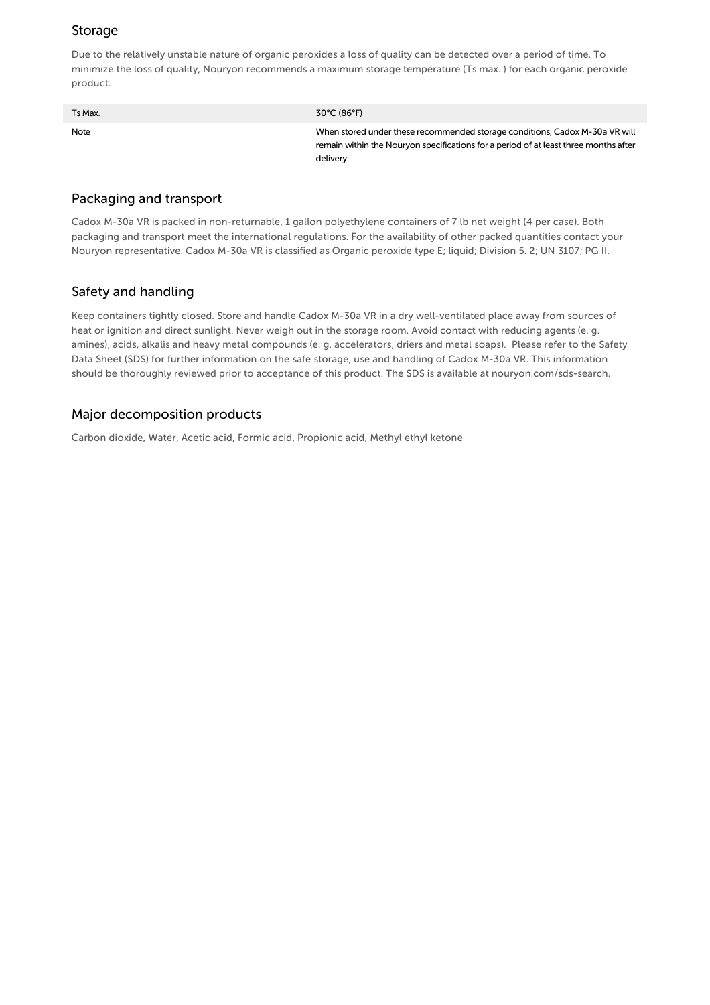## Storage

Due to the relatively unstable nature of organic peroxides a loss of quality can be detected over a period of time. To minimize the loss of quality, Nouryon recommends a maximum storage temperature (Ts max. ) for each organic peroxide product.

| Ts Max. | $30^{\circ}$ C (86 $^{\circ}$ F)                                                                                                                                                 |
|---------|----------------------------------------------------------------------------------------------------------------------------------------------------------------------------------|
| Note    | When stored under these recommended storage conditions, Cadox M-30a VR will<br>remain within the Nouryon specifications for a period of at least three months after<br>delivery. |

#### Packaging and transport

Cadox M-30a VR is packed in non-returnable, 1 gallon polyethylene containers of 7 lb net weight (4 per case). Both packaging and transport meet the international regulations. For the availability of other packed quantities contact your Nouryon representative. Cadox M-30a VR is classified as Organic peroxide type E; liquid; Division 5. 2; UN 3107; PG II.

## Safety and handling

Keep containers tightly closed. Store and handle Cadox M-30a VR in a dry well-ventilated place away from sources of heat or ignition and direct sunlight. Never weigh out in the storage room. Avoid contact with reducing agents (e. g. amines), acids, alkalis and heavy metal compounds (e. g. accelerators, driers and metal soaps). Please refer to the Safety Data Sheet (SDS) for further information on the safe storage, use and handling of Cadox M-30a VR. This information should be thoroughly reviewed prior to acceptance of this product. The SDS is available at nouryon.com/sds-search.

#### Major decomposition products

Carbon dioxide, Water, Acetic acid, Formic acid, Propionic acid, Methyl ethyl ketone